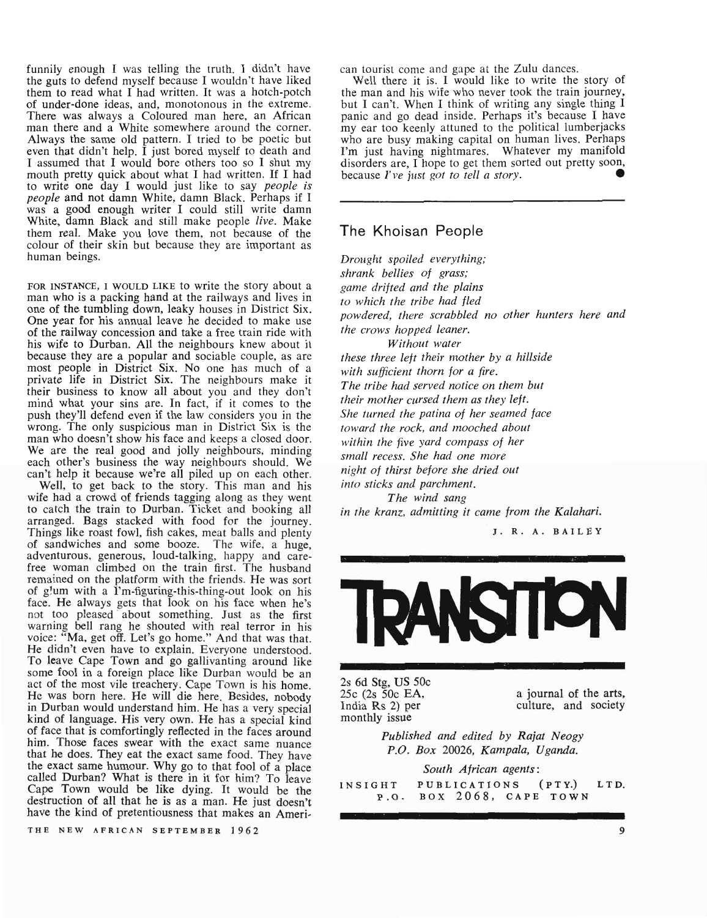funnily enough I was telling the truth. I didn't have the guts to defend myself because I wouldn't have liked them to read what I had written. It was a hotch-potch of under-done ideas, and, monotonous in the extreme. There was always a Coloured man here, an African man there and a White somewhere around the corner. Always the same old pattern. I tried to be poetic but even that didn't help.  $\hat{I}$  just bored myself to death and I assumed that I would bore others too so I shut my mouth pretty quick about what I had written. If I had to write one day I would just like to say *people is people* and not damn White, damn Black. Perhaps if 1 was a good enough writer I could still write damn White, damn Black and still make people *live.* Make them real. Make you love them, not because of the colour of their skin but because they are important as human beings.

FOR INSTANCE, I WOULD LIKE to write the story about a man who is a packing hand at the railways and lives in one of the tumbling down, leaky houses in District Six. One year for his annual leave he decided to make use of the railway concession and take a free train ride with his wife to Durban. All the neighbours knew about it because they are a popular and sociable couple, as are most people in District Six. No one has much of a private life in District Six. The neighbours make it their business to know all about you and they don't mind what your sins are. In fact, if it comes to the push they'll defend even if the law considers you in the wrong. The only suspicious man in District Six is the man who doesn't show his face and keeps a closed door. We are the real good and jolly neighbours, minding each other's business the way neighbours should. We can't help it because we're all piled up on each other.

Well, to get back to the story. This man and his wife had a crowd of friends tagging along as they went to catch the train to Durban. Ticket and booking all arranged. Bags stacked with food for the journey. Things like roast fowl, fish cakes, meat balls and plenty of sandwiches and some booze. The wife, a huge, adventurous., generous, loud-talking, happy and carefree woman climbed on the train first. The husband remained on the platform with the friends. He was sort of g!um with a I'm-figuring-this-thing-out look on his face. He always gets that look on his face when he's not too pleased' about something. Just as the first warning bell rang he shouted with real terror in his voice: "Ma, get off. Let's go home." And that was that. He didn't even have to explain. Everyone understood. To leave Cape Town and go gallivanting around like some fool in a foreign place like Durban would be an act of the most vile treachery. Cape Town is his home. Hc was born here. He will die here. Besides, nobody in Durban would understand him. He has a very special kind of language. His very own. He has a special kind of face that is comfortingly reflected in the faces around him. Those faces swear with the exact same nuance that he does. They eat the exact same food. They have the exact same humour. Why go to that fool of a place called Durban? What is there in it for him? To leave Cape Town would be like dying. It would be the destruction of all that he is as a man. He just doesn't have the kind of pretentiousness that makes an Ameri-

THE NEW AFRICAN SEPTEMBER 1962

can tourist come and gape at the Zulu dances.

Well there it is. I would like to write the story of the man and his \vife who never took the train journey, but I can't. When I think of writing any single thing I panic and go dead inside. Perhaps it's because I have my ear too keenly attuned to the political lumberjacks who are busy making capital on human lives. Perhaps I'm just having nightmares. Whatever my manifold disorders are, I hope to get them sorted out pretty soon, because *I've just got to tell a story. •*

## The Khoisan People

*Drought spoiled everything; shrank bellies* .*of grass; game drifted and the plains to which the tribe had fled powdered, there scrabbled no other hunters here and the crows hopped leaner. Without water these three left their mother by a hillside with sufficient thorn for a fire. The tribe had served notice on them but their mother cursed them as they left. She turned the patina of her seamed face toward the rock, and Inooched about within the five yard compass of her small recess. She had one more night of thirst before she dried out into sticks and parchment. The wind sang*

*in the kranz, admitting it came from the Kalahari.*

J. R. A. BAILEY



2s 6d Stg, US SOc 2Sc (2s SOc EA, India Rs 2) per monthly issue

a journal of the arts, culture, and society

*Published and edited by Rajat Neogy P.O. Box* 20026, *Kampala, Uganda.*

*South African agents:*

LTD. INSIGHT PUBLICATIONS (PTY.)<br>P.O. BOX 2068, CAPE TOW! BOX 2068, CAPE TOWN